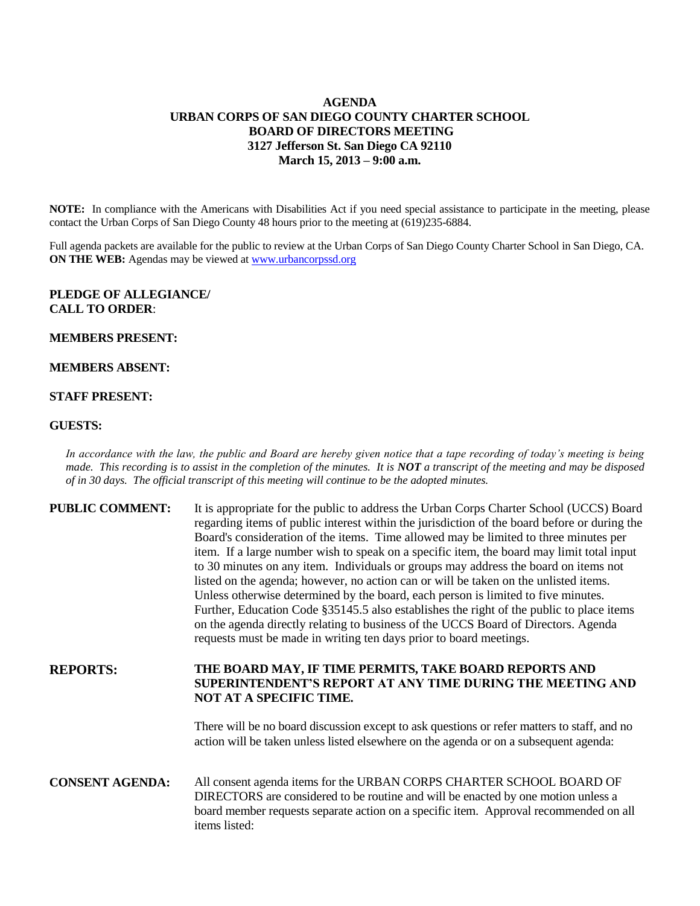# **AGENDA URBAN CORPS OF SAN DIEGO COUNTY CHARTER SCHOOL BOARD OF DIRECTORS MEETING 3127 Jefferson St. San Diego CA 92110 March 15, 2013 – 9:00 a.m.**

**NOTE:** In compliance with the Americans with Disabilities Act if you need special assistance to participate in the meeting, please contact the Urban Corps of San Diego County 48 hours prior to the meeting at (619)235-6884.

Full agenda packets are available for the public to review at the Urban Corps of San Diego County Charter School in San Diego, CA. **ON THE WEB:** Agendas may be viewed at [www.urbancorpssd.org](http://www.urbancorpssd.org/)

## **PLEDGE OF ALLEGIANCE/ CALL TO ORDER**:

### **MEMBERS PRESENT:**

### **MEMBERS ABSENT:**

### **STAFF PRESENT:**

#### **GUESTS:**

*In accordance with the law, the public and Board are hereby given notice that a tape recording of today's meeting is being made. This recording is to assist in the completion of the minutes. It is NOT a transcript of the meeting and may be disposed of in 30 days. The official transcript of this meeting will continue to be the adopted minutes.*

| <b>PUBLIC COMMENT:</b> | It is appropriate for the public to address the Urban Corps Charter School (UCCS) Board<br>regarding items of public interest within the jurisdiction of the board before or during the<br>Board's consideration of the items. Time allowed may be limited to three minutes per<br>item. If a large number wish to speak on a specific item, the board may limit total input<br>to 30 minutes on any item. Individuals or groups may address the board on items not<br>listed on the agenda; however, no action can or will be taken on the unlisted items.<br>Unless otherwise determined by the board, each person is limited to five minutes.<br>Further, Education Code §35145.5 also establishes the right of the public to place items<br>on the agenda directly relating to business of the UCCS Board of Directors. Agenda<br>requests must be made in writing ten days prior to board meetings. |
|------------------------|----------------------------------------------------------------------------------------------------------------------------------------------------------------------------------------------------------------------------------------------------------------------------------------------------------------------------------------------------------------------------------------------------------------------------------------------------------------------------------------------------------------------------------------------------------------------------------------------------------------------------------------------------------------------------------------------------------------------------------------------------------------------------------------------------------------------------------------------------------------------------------------------------------|
| <b>REPORTS:</b>        | THE BOARD MAY, IF TIME PERMITS, TAKE BOARD REPORTS AND<br><b>SUPERINTENDENT'S REPORT AT ANY TIME DURING THE MEETING AND</b><br>NOT AT A SPECIFIC TIME.                                                                                                                                                                                                                                                                                                                                                                                                                                                                                                                                                                                                                                                                                                                                                   |
|                        | There will be no board discussion except to ask questions or refer matters to staff, and no<br>action will be taken unless listed elsewhere on the agenda or on a subsequent agenda:                                                                                                                                                                                                                                                                                                                                                                                                                                                                                                                                                                                                                                                                                                                     |
| <b>CONSENT AGENDA:</b> | All consent agenda items for the URBAN CORPS CHARTER SCHOOL BOARD OF<br>DIRECTORS are considered to be routine and will be enacted by one motion unless a<br>board member requests separate action on a specific item. Approval recommended on all                                                                                                                                                                                                                                                                                                                                                                                                                                                                                                                                                                                                                                                       |

items listed: